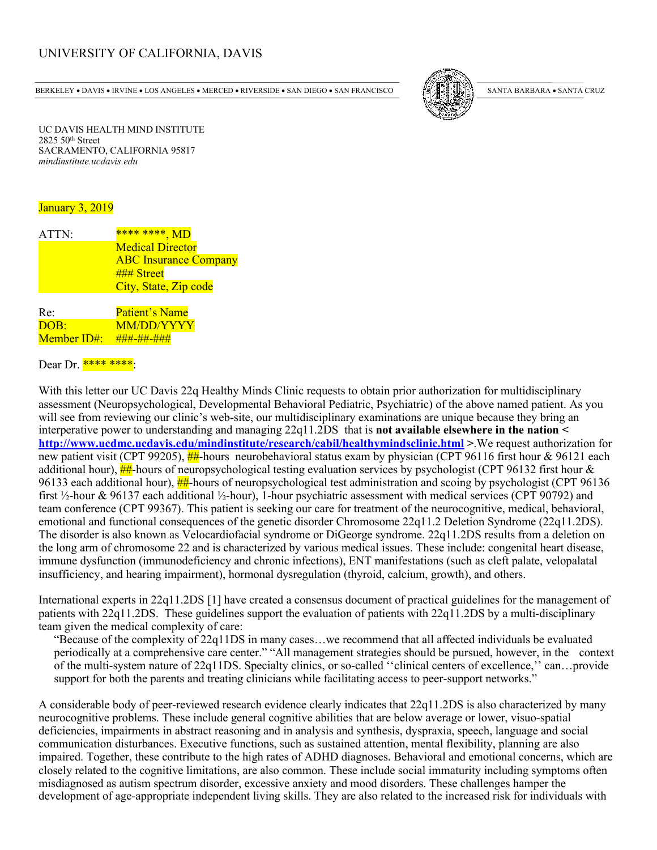## UNIVERSITY OF CALIFORNIA, DAVIS

BERKELEY • DAVIS • IRVINE • LOS ANGELES • MERCED • RIVERSIDE • SAN DIEGO • SAN FRANCISCO [37] SANTA BARBARA • SANTA CRUZ



UC DAVIS HEALTH MIND INSTITUTE 2825 50 th Street SACRAMENTO, CALIFORNIA 95817 *mindinstitute.ucdavis.edu*

## January 3, 2019

| ATTN:       | **** ****, MD                |
|-------------|------------------------------|
|             | <b>Medical Director</b>      |
|             | <b>ABC</b> Insurance Company |
|             | ### Street                   |
|             | City, State, Zip code        |
|             |                              |
| Re:         | <b>Patient's Name</b>        |
| DOB:        | <b>MM/DD/YYYY</b>            |
| Member ID#: | ###-##-###                   |

## Dear Dr. \*\*\*\* \*\*\*\*:

With this letter our UC Davis 22q Healthy Minds Clinic requests to obtain prior authorization for multidisciplinary assessment (Neuropsychological, Developmental Behavioral Pediatric, Psychiatric) of the above named patient. As you will see from reviewing our clinic's web-site, our multidisciplinary examinations are unique because they bring an interperative power to understanding and managing 22q11.2DS that is **not available elsewhere in the nation < http://www.ucdmc.ucdavis.edu/mindinstitute/research/cabil/healthymindsclinic.html >**.We request authorization for new patient visit (CPT 99205),  $\frac{H}{H}$ -hours neurobehavioral status exam by physician (CPT 96116 first hour & 96121 each additional hour),  $\frac{H}{H}$ -hours of neuropsychological testing evaluation services by psychologist (CPT 96132 first hour & 96133 each additional hour), ##-hours of neuropsychological test administration and scoing by psychologist (CPT 96136 first ½-hour & 96137 each additional ½-hour), 1-hour psychiatric assessment with medical services (CPT 90792) and team conference (CPT 99367). This patient is seeking our care for treatment of the neurocognitive, medical, behavioral, emotional and functional consequences of the genetic disorder Chromosome 22q11.2 Deletion Syndrome (22q11.2DS). The disorder is also known as Velocardiofacial syndrome or DiGeorge syndrome. 22q11.2DS results from a deletion on the long arm of chromosome 22 and is characterized by various medical issues. These include: congenital heart disease, immune dysfunction (immunodeficiency and chronic infections), ENT manifestations (such as cleft palate, velopalatal insufficiency, and hearing impairment), hormonal dysregulation (thyroid, calcium, growth), and others.

International experts in 22q11.2DS [1] have created a consensus document of practical guidelines for the management of patients with 22q11.2DS. These guidelines support the evaluation of patients with 22q11.2DS by a multi-disciplinary team given the medical complexity of care:

"Because of the complexity of 22q11DS in many cases…we recommend that all affected individuals be evaluated periodically at a comprehensive care center." "All management strategies should be pursued, however, in the context of the multi-system nature of 22q11DS. Specialty clinics, or so-called ''clinical centers of excellence,'' can…provide support for both the parents and treating clinicians while facilitating access to peer-support networks."

A considerable body of peer-reviewed research evidence clearly indicates that 22q11.2DS is also characterized by many neurocognitive problems. These include general cognitive abilities that are below average or lower, visuo-spatial deficiencies, impairments in abstract reasoning and in analysis and synthesis, dyspraxia, speech, language and social communication disturbances. Executive functions, such as sustained attention, mental flexibility, planning are also impaired. Together, these contribute to the high rates of ADHD diagnoses. Behavioral and emotional concerns, which are closely related to the cognitive limitations, are also common. These include social immaturity including symptoms often misdiagnosed as autism spectrum disorder, excessive anxiety and mood disorders. These challenges hamper the development of age-appropriate independent living skills. They are also related to the increased risk for individuals with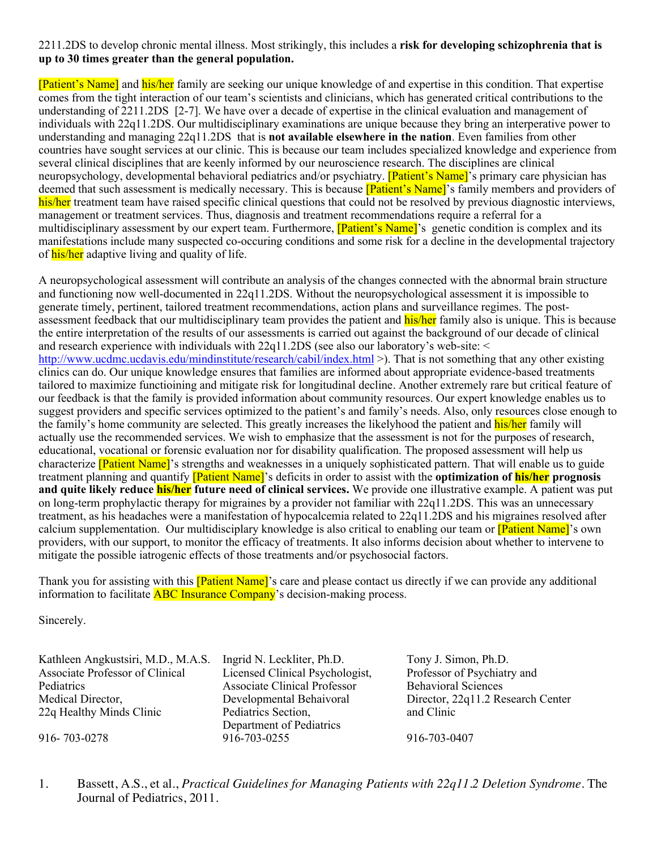## 2211.2DS to develop chronic mental illness. Most strikingly, this includes a **risk for developing schizophrenia that is up to 30 times greater than the general population.**

[Patient's Name] and his/her family are seeking our unique knowledge of and expertise in this condition. That expertise comes from the tight interaction of our team's scientists and clinicians, which has generated critical contributions to the understanding of 2211.2DS [2-7]. We have over a decade of expertise in the clinical evaluation and management of individuals with 22q11.2DS. Our multidisciplinary examinations are unique because they bring an interperative power to understanding and managing 22q11.2DS that is **not available elsewhere in the nation**. Even families from other countries have sought services at our clinic. This is because our team includes specialized knowledge and experience from several clinical disciplines that are keenly informed by our neuroscience research. The disciplines are clinical neuropsychology, developmental behavioral pediatrics and/or psychiatry. **[Patient's Name]**'s primary care physician has deemed that such assessment is medically necessary. This is because **[Patient's Name]**'s family members and providers of his/her treatment team have raised specific clinical questions that could not be resolved by previous diagnostic interviews, management or treatment services. Thus, diagnosis and treatment recommendations require a referral for a multidisciplinary assessment by our expert team. Furthermore, **[Patient's Name]**'s genetic condition is complex and its manifestations include many suspected co-occuring conditions and some risk for a decline in the developmental trajectory of his/her adaptive living and quality of life.

A neuropsychological assessment will contribute an analysis of the changes connected with the abnormal brain structure and functioning now well-documented in 22q11.2DS. Without the neuropsychological assessment it is impossible to generate timely, pertinent, tailored treatment recommendations, action plans and surveillance regimes. The postassessment feedback that our multidisciplinary team provides the patient and his/her family also is unique. This is because the entire interpretation of the results of our assessments is carried out against the background of our decade of clinical and research experience with individuals with 22q11.2DS (see also our laboratory's web-site: < http://www.ucdmc.ucdavis.edu/mindinstitute/research/cabil/index.html >). That is not something that any other existing clinics can do. Our unique knowledge ensures that families are informed about appropriate evidence-based treatments tailored to maximize functioining and mitigate risk for longitudinal decline. Another extremely rare but critical feature of our feedback is that the family is provided information about community resources. Our expert knowledge enables us to suggest providers and specific services optimized to the patient's and family's needs. Also, only resources close enough to the family's home community are selected. This greatly increases the likelyhood the patient and his/her family will actually use the recommended services. We wish to emphasize that the assessment is not for the purposes of research, educational, vocational or forensic evaluation nor for disability qualification. The proposed assessment will help us characterize **[Patient Name]**'s strengths and weaknesses in a uniquely sophisticated pattern. That will enable us to guide treatment planning and quantify [Patient Name]'s deficits in order to assist with the **optimization of his/her prognosis and quite likely reduce his/her future need of clinical services.** We provide one illustrative example. A patient was put on long-term prophylactic therapy for migraines by a provider not familiar with 22q11.2DS. This was an unnecessary treatment, as his headaches were a manifestation of hypocalcemia related to 22q11.2DS and his migraines resolved after calcium supplementation. Our multidisciplary knowledge is also critical to enabling our team or [Patient Name]'s own providers, with our support, to monitor the efficacy of treatments. It also informs decision about whether to intervene to mitigate the possible iatrogenic effects of those treatments and/or psychosocial factors.

Thank you for assisting with this **[Patient Name]**'s care and please contact us directly if we can provide any additional information to facilitate **ABC** Insurance Company's decision-making process.

Sincerely.

Associate Professor of Clinical Pediatrics Medical Director, 22q Healthy Minds Clinic

Kathleen Angkustsiri, M.D., M.A.S. Ingrid N. Leckliter, Ph.D. Tony J. Simon, Ph.D. Licensed Clinical Psychologist, Associate Clinical Professor Developmental Behaivoral Pediatrics Section, Department of Pediatrics 916- 703-0278 916-703-0255 916-703-0407

Professor of Psychiatry and Behavioral Sciences Director, 22q11.2 Research Center and Clinic

1. Bassett, A.S., et al., *Practical Guidelines for Managing Patients with 22q11.2 Deletion Syndrome.* The Journal of Pediatrics, 2011.